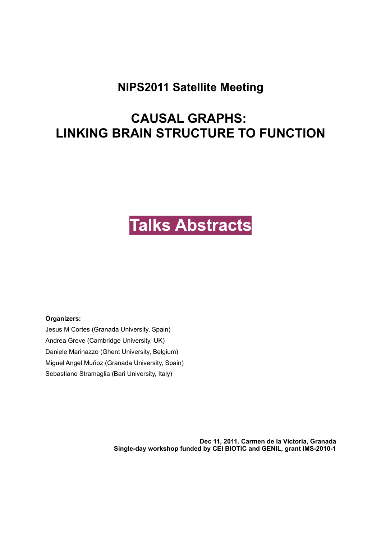### **NIPS2011 Satellite Meeting**

## **CAUSAL GRAPHS: LINKING BRAIN STRUCTURE TO FUNCTION**

# **Talks Abstracts**

**Organizers:** 

Jesus M Cortes (Granada University, Spain) Andrea Greve (Cambridge University, UK) Daniele Marinazzo (Ghent University, Belgium) Miguel Angel Muñoz (Granada University, Spain) Sebastiano Stramaglia (Bari University, Italy)

> **Dec 11, 2011. Carmen de la Victoria, Granada Single-day workshop funded by CEI BIOTIC and GENIL, grant IMS-2010-1**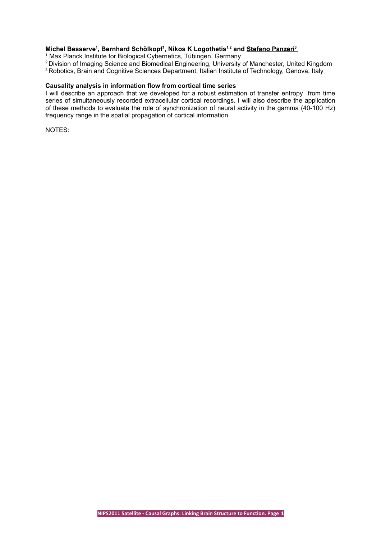#### $\bm{\mathsf{Michael Besserve^1, Bernhard Schölkopf^1, Nikos K Logothetis^1.2}$  and <u>Stefano Panzeri</u> $^3$

<sup>1</sup> Max Planck Institute for Biological Cybernetics, Tübingen, Germany

<sup>2</sup> Division of Imaging Science and Biomedical Engineering, University of Manchester, United Kingdom

<sup>3</sup> Robotics, Brain and Cognitive Sciences Department, Italian Institute of Technology, Genova, Italy

#### **Causality analysis in information flow from cortical time series**

I will describe an approach that we developed for a robust estimation of transfer entropy from time series of simultaneously recorded extracellular cortical recordings. I will also describe the application of these methods to evaluate the role of synchronization of neural activity in the gamma (40-100 Hz) frequency range in the spatial propagation of cortical information.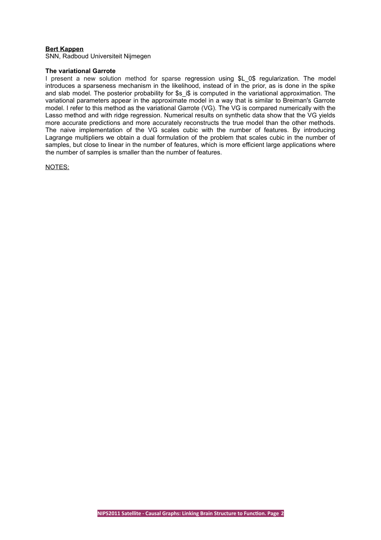#### **Bert Kappen**

SNN, Radboud Universiteit Nijmegen

#### **The variational Garrote**

I present a new solution method for sparse regression using \$L 0\$ regularization. The model introduces a sparseness mechanism in the likelihood, instead of in the prior, as is done in the spike and slab model. The posterior probability for  $s$  is is computed in the variational approximation. The variational parameters appear in the approximate model in a way that is similar to Breiman's Garrote model. I refer to this method as the variational Garrote (VG). The VG is compared numerically with the Lasso method and with ridge regression. Numerical results on synthetic data show that the VG yields more accurate predictions and more accurately reconstructs the true model than the other methods. The naive implementation of the VG scales cubic with the number of features. By introducing Lagrange multipliers we obtain a dual formulation of the problem that scales cubic in the number of samples, but close to linear in the number of features, which is more efficient large applications where the number of samples is smaller than the number of features.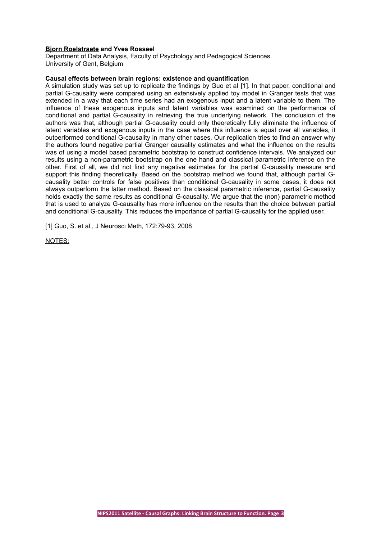#### **Bjorn Roelstraete and Yves Rosseel**

Department of Data Analysis, Faculty of Psychology and Pedagogical Sciences. University of Gent, Belgium

#### **Causal effects between brain regions: existence and quantification**

A simulation study was set up to replicate the findings by Guo et al [1]. In that paper, conditional and partial G-causality were compared using an extensively applied toy model in Granger tests that was extended in a way that each time series had an exogenous input and a latent variable to them. The influence of these exogenous inputs and latent variables was examined on the performance of conditional and partial G-causality in retrieving the true underlying network. The conclusion of the authors was that, although partial G-causality could only theoretically fully eliminate the influence of latent variables and exogenous inputs in the case where this influence is equal over all variables, it outperformed conditional G-causality in many other cases. Our replication tries to find an answer why the authors found negative partial Granger causality estimates and what the influence on the results was of using a model based parametric bootstrap to construct confidence intervals. We analyzed our results using a non-parametric bootstrap on the one hand and classical parametric inference on the other. First of all, we did not find any negative estimates for the partial G-causality measure and support this finding theoretically. Based on the bootstrap method we found that, although partial Gcausality better controls for false positives than conditional G-causality in some cases, it does not always outperform the latter method. Based on the classical parametric inference, partial G-causality holds exactly the same results as conditional G-causality. We argue that the (non) parametric method that is used to analyze G-causality has more influence on the results than the choice between partial and conditional G-causality. This reduces the importance of partial G-causality for the applied user.

[1] Guo, S. et al., J Neurosci Meth, 172:79-93, 2008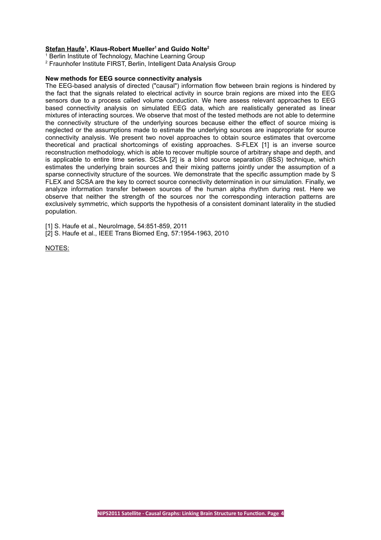#### **Stefan Haufe<sup>1</sup> , Klaus-Robert Mueller<sup>1</sup>and Guido Nolte<sup>2</sup>**

<sup>1</sup> Berlin Institute of Technology, Machine Learning Group

<sup>2</sup> Fraunhofer Institute FIRST, Berlin, Intelligent Data Analysis Group

#### **New methods for EEG source connectivity analysis**

The EEG-based analysis of directed ("causal") information flow between brain regions is hindered by the fact that the signals related to electrical activity in source brain regions are mixed into the EEG sensors due to a process called volume conduction. We here assess relevant approaches to EEG based connectivity analysis on simulated EEG data, which are realistically generated as linear mixtures of interacting sources. We observe that most of the tested methods are not able to determine the connectivity structure of the underlying sources because either the effect of source mixing is neglected or the assumptions made to estimate the underlying sources are inappropriate for source connectivity analysis. We present two novel approaches to obtain source estimates that overcome theoretical and practical shortcomings of existing approaches. S-FLEX [1] is an inverse source reconstruction methodology, which is able to recover multiple source of arbitrary shape and depth, and is applicable to entire time series. SCSA [2] is a blind source separation (BSS) technique, which estimates the underlying brain sources and their mixing patterns jointly under the assumption of a sparse connectivity structure of the sources. We demonstrate that the specific assumption made by S FLEX and SCSA are the key to correct source connectivity determination in our simulation. Finally, we analyze information transfer between sources of the human alpha rhythm during rest. Here we observe that neither the strength of the sources nor the corresponding interaction patterns are exclusively symmetric, which supports the hypothesis of a consistent dominant laterality in the studied population.

[1] S. Haufe et al., NeuroImage, 54:851-859, 2011

[2] S. Haufe et al., IEEE Trans Biomed Eng, 57:1954-1963, 2010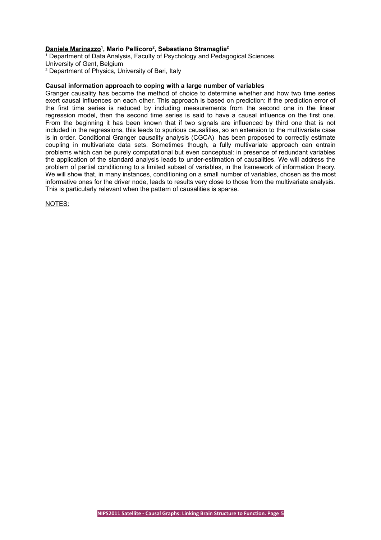#### **Daniele Marinazzo<sup>1</sup> , Mario Pellicoro<sup>2</sup> , Sebastiano Stramaglia<sup>2</sup>**

<sup>1</sup> Department of Data Analysis, Faculty of Psychology and Pedagogical Sciences.

University of Gent, Belgium

<sup>2</sup> Department of Physics, University of Bari, Italy

#### **Causal information approach to coping with a large number of variables**

Granger causality has become the method of choice to determine whether and how two time series exert causal influences on each other. This approach is based on prediction: if the prediction error of the first time series is reduced by including measurements from the second one in the linear regression model, then the second time series is said to have a causal influence on the first one. From the beginning it has been known that if two signals are influenced by third one that is not included in the regressions, this leads to spurious causalities, so an extension to the multivariate case is in order. Conditional Granger causality analysis (CGCA) has been proposed to correctly estimate coupling in multivariate data sets. Sometimes though, a fully multivariate approach can entrain problems which can be purely computational but even conceptual: in presence of redundant variables the application of the standard analysis leads to under-estimation of causalities. We will address the problem of partial conditioning to a limited subset of variables, in the framework of information theory. We will show that, in many instances, conditioning on a small number of variables, chosen as the most informative ones for the driver node, leads to results very close to those from the multivariate analysis. This is particularly relevant when the pattern of causalities is sparse.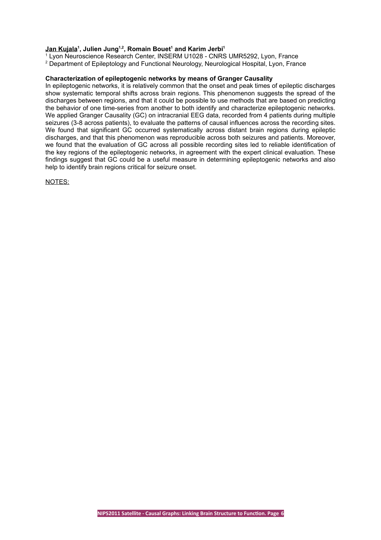#### **Jan Kujala<sup>1</sup> , Julien Jung1,2, Romain Bouet<sup>1</sup> and Karim Jerbi<sup>1</sup>**

1 Lyon Neuroscience Research Center, INSERM U1028 - CNRS UMR5292, Lyon, France

#### 2 Department of Epileptology and Functional Neurology, Neurological Hospital, Lyon, France

#### **Characterization of epileptogenic networks by means of Granger Causality**

In epileptogenic networks, it is relatively common that the onset and peak times of epileptic discharges show systematic temporal shifts across brain regions. This phenomenon suggests the spread of the discharges between regions, and that it could be possible to use methods that are based on predicting the behavior of one time-series from another to both identify and characterize epileptogenic networks. We applied Granger Causality (GC) on intracranial EEG data, recorded from 4 patients during multiple seizures (3-8 across patients), to evaluate the patterns of causal influences across the recording sites. We found that significant GC occurred systematically across distant brain regions during epileptic discharges, and that this phenomenon was reproducible across both seizures and patients. Moreover, we found that the evaluation of GC across all possible recording sites led to reliable identification of the key regions of the epileptogenic networks, in agreement with the expert clinical evaluation. These findings suggest that GC could be a useful measure in determining epileptogenic networks and also help to identify brain regions critical for seizure onset.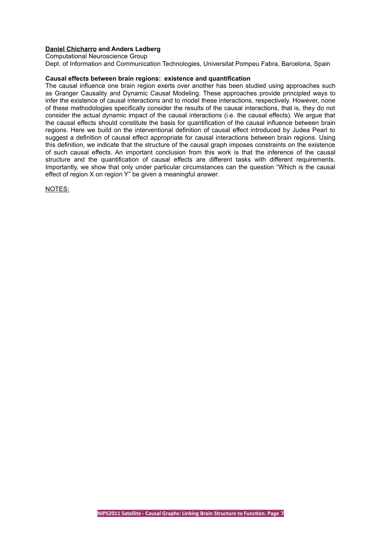#### **Daniel Chicharro and Anders Ledberg** Computational Neuroscience Group

Dept. of Information and Communication Technologies, Universitat Pompeu Fabra, Barcelona, Spain

#### **Causal effects between brain regions: existence and quantification**

The causal influence one brain region exerts over another has been studied using approaches such as Granger Causality and Dynamic Causal Modeling. These approaches provide principled ways to infer the existence of causal interactions and to model these interactions, respectively. However, none of these methodologies specifically consider the results of the causal interactions, that is, they do not consider the actual dynamic impact of the causal interactions (i.e. the causal effects). We argue that the causal effects should constitute the basis for quantification of the causal influence between brain regions. Here we build on the interventional definition of causal effect introduced by Judea Pearl to suggest a definition of causal effect appropriate for causal interactions between brain regions. Using this definition, we indicate that the structure of the causal graph imposes constraints on the existence of such causal effects. An important conclusion from this work is that the inference of the causal structure and the quantification of causal effects are different tasks with different requirements. Importantly, we show that only under particular circumstances can the question "Which is the causal effect of region X on region Y" be given a meaningful answer.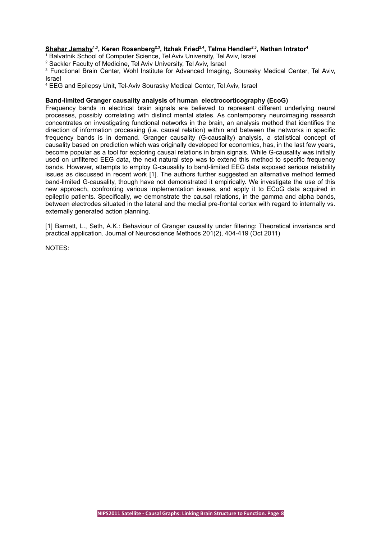#### **Shahar Jamshy1,3, Keren Rosenberg2,3, Itzhak Fried2,4, Talma Hendler2,3, Nathan Intrator<sup>4</sup>**

<sup>1</sup> Balvatnik School of Computer Science, Tel Aviv University, Tel Aviv, Israel

<sup>2</sup> Sackler Faculty of Medicine, Tel Aviv University, Tel Aviv, Israel

<sup>3</sup> Functional Brain Center, Wohl Institute for Advanced Imaging, Sourasky Medical Center, Tel Aviv, Israel

4 EEG and Epilepsy Unit, Tel-Aviv Sourasky Medical Center, Tel Aviv, Israel

#### **Band-limited Granger causality analysis of human electrocorticography (EcoG)**

Frequency bands in electrical brain signals are believed to represent different underlying neural processes, possibly correlating with distinct mental states. As contemporary neuroimaging research concentrates on investigating functional networks in the brain, an analysis method that identifies the direction of information processing (i.e. causal relation) within and between the networks in specific frequency bands is in demand. Granger causality (G-causality) analysis, a statistical concept of causality based on prediction which was originally developed for economics, has, in the last few years, become popular as a tool for exploring causal relations in brain signals. While G-causality was initially used on unfiltered EEG data, the next natural step was to extend this method to specific frequency bands. However, attempts to employ G-causality to band-limited EEG data exposed serious reliability issues as discussed in recent work [1]. The authors further suggested an alternative method termed band-limited G-causality, though have not demonstrated it empirically. We investigate the use of this new approach, confronting various implementation issues, and apply it to ECoG data acquired in epileptic patients. Specifically, we demonstrate the causal relations, in the gamma and alpha bands, between electrodes situated in the lateral and the medial pre-frontal cortex with regard to internally vs. externally generated action planning.

[1] Barnett, L., Seth, A.K.: Behaviour of Granger causality under filtering: Theoretical invariance and practical application. Journal of Neuroscience Methods 201(2), 404-419 (Oct 2011)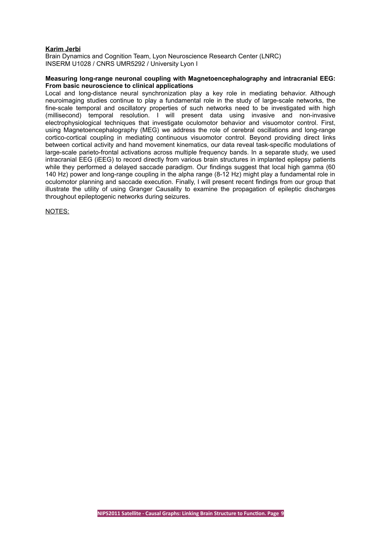#### **Karim Jerbi**

Brain Dynamics and Cognition Team, Lyon Neuroscience Research Center (LNRC) INSERM U1028 / CNRS UMR5292 / University Lyon I

#### **Measuring long-range neuronal coupling with Magnetoencephalography and intracranial EEG: From basic neuroscience to clinical applications**

Local and long-distance neural synchronization play a key role in mediating behavior. Although neuroimaging studies continue to play a fundamental role in the study of large-scale networks, the fine-scale temporal and oscillatory properties of such networks need to be investigated with high (millisecond) temporal resolution. I will present data using invasive and non-invasive electrophysiological techniques that investigate oculomotor behavior and visuomotor control. First, using Magnetoencephalography (MEG) we address the role of cerebral oscillations and long-range cortico-cortical coupling in mediating continuous visuomotor control. Beyond providing direct links between cortical activity and hand movement kinematics, our data reveal task-specific modulations of large-scale parieto-frontal activations across multiple frequency bands. In a separate study, we used intracranial EEG (iEEG) to record directly from various brain structures in implanted epilepsy patients while they performed a delayed saccade paradigm. Our findings suggest that local high gamma (60 140 Hz) power and long-range coupling in the alpha range (8-12 Hz) might play a fundamental role in oculomotor planning and saccade execution. Finally, I will present recent findings from our group that illustrate the utility of using Granger Causality to examine the propagation of epileptic discharges throughout epileptogenic networks during seizures.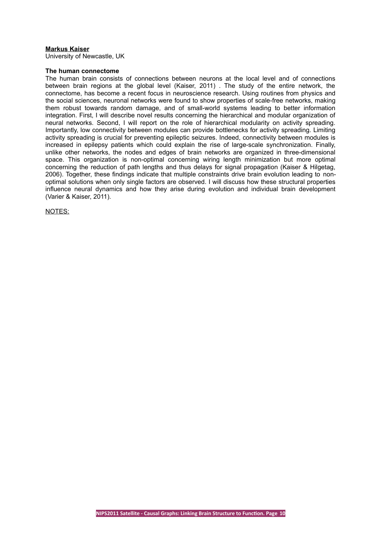#### **Markus Kaiser**

University of Newcastle, UK

#### **The human connectome**

The human brain consists of connections between neurons at the local level and of connections between brain regions at the global level (Kaiser, 2011) . The study of the entire network, the connectome, has become a recent focus in neuroscience research. Using routines from physics and the social sciences, neuronal networks were found to show properties of scale-free networks, making them robust towards random damage, and of small-world systems leading to better information integration. First, I will describe novel results concerning the hierarchical and modular organization of neural networks. Second, I will report on the role of hierarchical modularity on activity spreading. Importantly, low connectivity between modules can provide bottlenecks for activity spreading. Limiting activity spreading is crucial for preventing epileptic seizures. Indeed, connectivity between modules is increased in epilepsy patients which could explain the rise of large-scale synchronization. Finally, unlike other networks, the nodes and edges of brain networks are organized in three-dimensional space. This organization is non-optimal concerning wiring length minimization but more optimal concerning the reduction of path lengths and thus delays for signal propagation (Kaiser & Hilgetag, 2006). Together, these findings indicate that multiple constraints drive brain evolution leading to nonoptimal solutions when only single factors are observed. I will discuss how these structural properties influence neural dynamics and how they arise during evolution and individual brain development (Varier & Kaiser, 2011).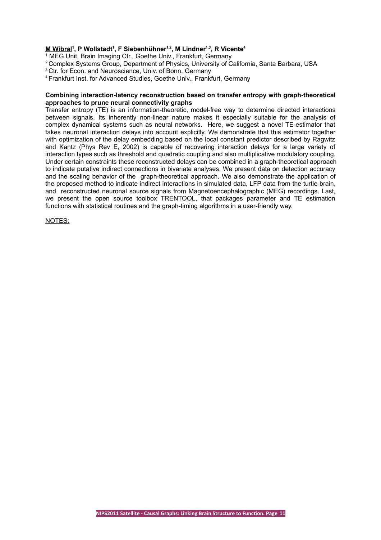#### **M Wibral<sup>1</sup> , P Wollstadt<sup>1</sup> , F Siebenhühner1,2, M Lindner1,3, R Vicente<sup>4</sup>**

<sup>1</sup> MEG Unit, Brain Imaging Ctr., Goethe Univ., Frankfurt, Germany

- <sup>2</sup> Complex Systems Group, Department of Physics, University of California, Santa Barbara, USA
- <sup>3</sup> Ctr. for Econ. and Neuroscience, Univ. of Bonn, Germany
- <sup>4</sup>Frankfurt Inst. for Advanced Studies, Goethe Univ., Frankfurt, Germany

#### **Combining interaction-latency reconstruction based on transfer entropy with graph-theoretical approaches to prune neural connectivity graphs**

Transfer entropy (TE) is an information-theoretic, model-free way to determine directed interactions between signals. Its inherently non-linear nature makes it especially suitable for the analysis of complex dynamical systems such as neural networks. Here, we suggest a novel TE-estimator that takes neuronal interaction delays into account explicitly. We demonstrate that this estimator together with optimization of the delay embedding based on the local constant predictor described by Ragwitz and Kantz (Phys Rev E, 2002) is capable of recovering interaction delays for a large variety of interaction types such as threshold and quadratic coupling and also multiplicative modulatory coupling. Under certain constraints these reconstructed delays can be combined in a graph-theoretical approach to indicate putative indirect connections in bivariate analyses. We present data on detection accuracy and the scaling behavior of the graph-theoretical approach. We also demonstrate the application of the proposed method to indicate indirect interactions in simulated data, LFP data from the turtle brain, and reconstructed neuronal source signals from Magnetoencephalographic (MEG) recordings. Last, we present the open source toolbox TRENTOOL, that packages parameter and TE estimation functions with statistical routines and the graph-timing algorithms in a user-friendly way.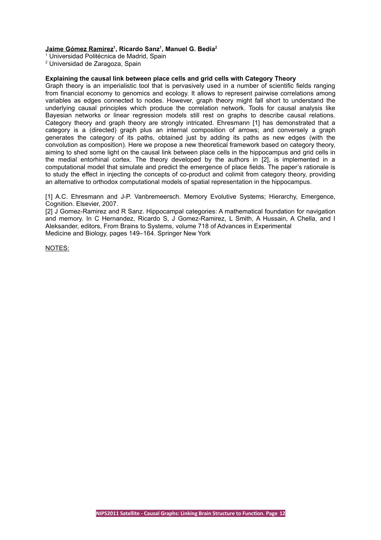#### **Jaime Gómez Ramirez<sup>1</sup> , Ricardo Sanz<sup>1</sup> , Manuel G. Bedia<sup>2</sup>**

<sup>1</sup> Universidad Politécnica de Madrid, Spain

<sup>2</sup> Universidad de Zaragoza, Spain

#### **Explaining the causal link between place cells and grid cells with Category Theory**

Graph theory is an imperialistic tool that is pervasively used in a number of scientific fields ranging from financial economy to genomics and ecology. It allows to represent pairwise correlations among variables as edges connected to nodes. However, graph theory might fall short to understand the underlying causal principles which produce the correlation network. Tools for causal analysis like Bayesian networks or linear regression models still rest on graphs to describe causal relations. Category theory and graph theory are strongly intricated. Ehresmann [1] has demonstrated that a category is a (directed) graph plus an internal composition of arrows; and conversely a graph generates the category of its paths, obtained just by adding its paths as new edges (with the convolution as composition). Here we propose a new theoretical framework based on category theory, aiming to shed some light on the causal link between place cells in the hippocampus and grid cells in the medial entorhinal cortex. The theory developed by the authors in [2], is implemented in a computational model that simulate and predict the emergence of place fields. The paper's rationale is to study the effect in injecting the concepts of co-product and colimit from category theory, providing an alternative to orthodox computational models of spatial representation in the hippocampus.

[1] A.C. Ehresmann and J-P. Vanbremeersch. Memory Evolutive Systems: Hierarchy, Emergence, Cognition. Elsevier, 2007.

[2] J Gomez-Ramirez and R Sanz. Hippocampal categories: A mathematical foundation for navigation and memory. In C Hernandez, Ricardo S, J Gomez-Ramirez, L Smith, A Hussain, A Chella, and I Aleksander, editors, From Brains to Systems, volume 718 of Advances in Experimental Medicine and Biology, pages 149–164. Springer New York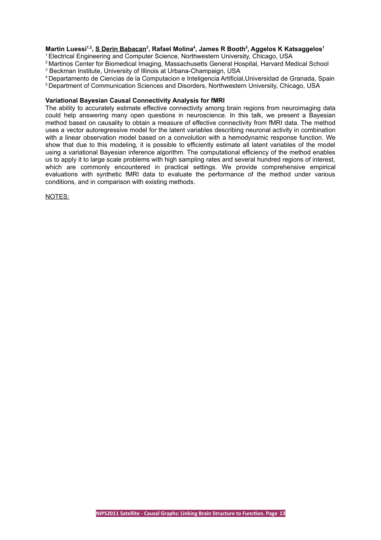#### **Martin Luessi1,2 , S Derin Babacan<sup>3</sup> , Rafael Molina<sup>4</sup> , James R Booth<sup>5</sup> , Aggelos K Katsaggelos<sup>1</sup>**

<sup>1</sup>Electrical Engineering and Computer Science, Northwestern University, Chicago, USA

<sup>2</sup> Martinos Center for Biomedical Imaging, Massachusetts General Hospital, Harvard Medical School

3 Beckman Institute, University of Illinois at Urbana-Champaign, USA

<sup>4</sup>Departamento de Ciencias de la Computacion e Inteligencia Artificial,Universidad de Granada, Spain

<sup>5</sup> Department of Communication Sciences and Disorders, Northwestern University, Chicago, USA

#### **Variational Bayesian Causal Connectivity Analysis for fMRI**

The ability to accurately estimate effective connectivity among brain regions from neuroimaging data could help answering many open questions in neuroscience. In this talk, we present a Bayesian method based on causality to obtain a measure of effective connectivity from fMRI data. The method uses a vector autoregressive model for the latent variables describing neuronal activity in combination with a linear observation model based on a convolution with a hemodynamic response function. We show that due to this modeling, it is possible to efficiently estimate all latent variables of the model using a variational Bayesian inference algorithm. The computational efficiency of the method enables us to apply it to large scale problems with high sampling rates and several hundred regions of interest, which are commonly encountered in practical settings. We provide comprehensive empirical evaluations with synthetic fMRI data to evaluate the performance of the method under various conditions, and in comparison with existing methods.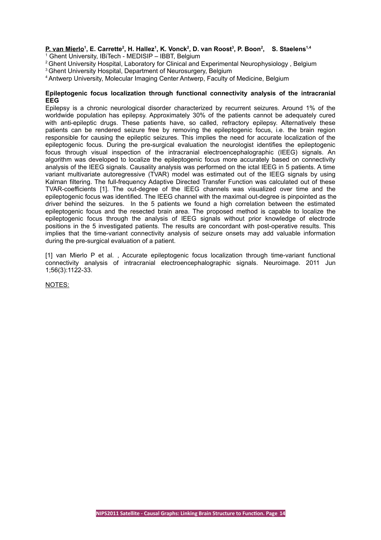#### **P. van Mierlo<sup>1</sup> , E. Carrette<sup>2</sup> , H. Hallez<sup>1</sup> , K. Vonck<sup>2</sup> , D. van Roost<sup>3</sup> , P. Boon<sup>2</sup> , S. Staelens1,4** <sup>1</sup> Ghent University, IBiTech - MEDISIP – IBBT, Belgium

- <sup>2</sup> Ghent University Hospital, Laboratory for Clinical and Experimental Neurophysiology, Belgium
- <sup>3</sup> Ghent University Hospital, Department of Neurosurgery, Belgium
- <sup>4</sup>Antwerp University, Molecular Imaging Center Antwerp, Faculty of Medicine, Belgium

#### **Epileptogenic focus localization through functional connectivity analysis of the intracranial EEG**

Epilepsy is a chronic neurological disorder characterized by recurrent seizures. Around 1% of the worldwide population has epilepsy. Approximately 30% of the patients cannot be adequately cured with anti-epileptic drugs. These patients have, so called, refractory epilepsy. Alternatively these patients can be rendered seizure free by removing the epileptogenic focus, i.e. the brain region responsible for causing the epileptic seizures. This implies the need for accurate localization of the epileptogenic focus. During the pre-surgical evaluation the neurologist identifies the epileptogenic focus through visual inspection of the intracranial electroencephalographic (IEEG) signals. An algorithm was developed to localize the epileptogenic focus more accurately based on connectivity analysis of the IEEG signals. Causality analysis was performed on the ictal IEEG in 5 patients. A time variant multivariate autoregressive (TVAR) model was estimated out of the IEEG signals by using Kalman filtering. The full-frequency Adaptive Directed Transfer Function was calculated out of these TVAR-coefficients [1]. The out-degree of the IEEG channels was visualized over time and the epileptogenic focus was identified. The IEEG channel with the maximal out-degree is pinpointed as the driver behind the seizures. In the 5 patients we found a high correlation between the estimated epileptogenic focus and the resected brain area. The proposed method is capable to localize the epileptogenic focus through the analysis of IEEG signals without prior knowledge of electrode positions in the 5 investigated patients. The results are concordant with post-operative results. This implies that the time-variant connectivity analysis of seizure onsets may add valuable information during the pre-surgical evaluation of a patient.

[1] van Mierlo P et al. , Accurate epileptogenic focus localization through time-variant functional connectivity analysis of intracranial electroencephalographic signals. Neuroimage. 2011 Jun 1;56(3):1122-33.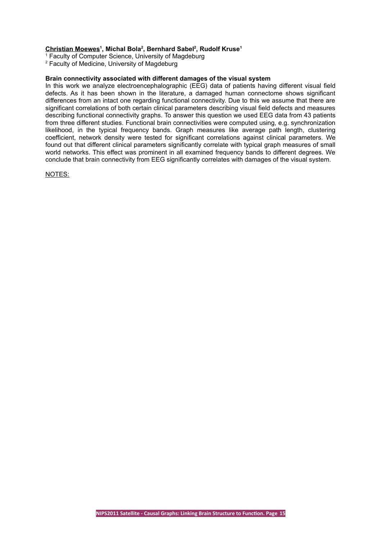#### **Christian Moewes<sup>1</sup> , Michal Bola<sup>2</sup> , Bernhard Sabel<sup>2</sup> , Rudolf Kruse<sup>1</sup>**

<sup>1</sup> Faculty of Computer Science, University of Magdeburg

<sup>2</sup> Faculty of Medicine, University of Magdeburg

#### **Brain connectivity associated with different damages of the visual system**

In this work we analyze electroencephalographic (EEG) data of patients having different visual field defects. As it has been shown in the literature, a damaged human connectome shows significant differences from an intact one regarding functional connectivity. Due to this we assume that there are significant correlations of both certain clinical parameters describing visual field defects and measures describing functional connectivity graphs. To answer this question we used EEG data from 43 patients from three different studies. Functional brain connectivities were computed using, e.g. synchronization likelihood, in the typical frequency bands. Graph measures like average path length, clustering coefficient, network density were tested for significant correlations against clinical parameters. We found out that different clinical parameters significantly correlate with typical graph measures of small world networks. This effect was prominent in all examined frequency bands to different degrees. We conclude that brain connectivity from EEG significantly correlates with damages of the visual system.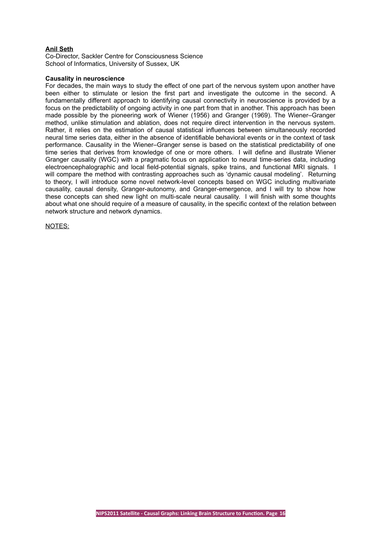#### **Anil Seth**

Co-Director, Sackler Centre for Consciousness Science School of Informatics, University of Sussex, UK

#### **Causality in neuroscience**

For decades, the main ways to study the effect of one part of the nervous system upon another have been either to stimulate or lesion the first part and investigate the outcome in the second. A fundamentally different approach to identifying causal connectivity in neuroscience is provided by a focus on the predictability of ongoing activity in one part from that in another. This approach has been made possible by the pioneering work of Wiener (1956) and Granger (1969). The Wiener–Granger method, unlike stimulation and ablation, does not require direct intervention in the nervous system. Rather, it relies on the estimation of causal statistical influences between simultaneously recorded neural time series data, either in the absence of identifiable behavioral events or in the context of task performance. Causality in the Wiener–Granger sense is based on the statistical predictability of one time series that derives from knowledge of one or more others. I will define and illustrate Wiener Granger causality (WGC) with a pragmatic focus on application to neural time-series data, including electroencephalographic and local field-potential signals, spike trains, and functional MRI signals. I will compare the method with contrasting approaches such as 'dynamic causal modeling'. Returning to theory, I will introduce some novel network-level concepts based on WGC including multivariate causality, causal density, Granger-autonomy, and Granger-emergence, and I will try to show how these concepts can shed new light on multi-scale neural causality. I will finish with some thoughts about what one should require of a measure of causality, in the specific context of the relation between network structure and network dynamics.